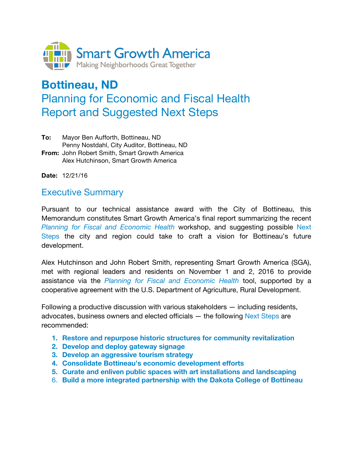

# **Bottineau, ND**  Planning for Economic and Fiscal Health Report and Suggested Next Steps

**To:** Mayor Ben Aufforth, Bottineau, ND Penny Nostdahl, City Auditor, Bottineau, ND **From:** John Robert Smith, Smart Growth America Alex Hutchinson, Smart Growth America

**Date:** 12/21/16

### Executive Summary

Pursuant to our technical assistance award with the City of Bottineau, this Memorandum constitutes Smart Growth America's final report summarizing the recent *Planning for Fiscal and Economic Health* workshop, and suggesting possible Next Steps the city and region could take to craft a vision for Bottineau's future development.

Alex Hutchinson and John Robert Smith, representing Smart Growth America (SGA), met with regional leaders and residents on November 1 and 2, 2016 to provide assistance via the *Planning for Fiscal and Economic Health* tool, supported by a cooperative agreement with the U.S. Department of Agriculture, Rural Development.

Following a productive discussion with various stakeholders — including residents, advocates, business owners and elected officials  $-$  the following Next Steps are recommended:

- **1. Restore and repurpose historic structures for community revitalization**
- **2. Develop and deploy gateway signage**
- **3. Develop an aggressive tourism strategy**
- **4. Consolidate Bottineau's economic development efforts**
- **5. Curate and enliven public spaces with art installations and landscaping**
- 6. **Build a more integrated partnership with the Dakota College of Bottineau**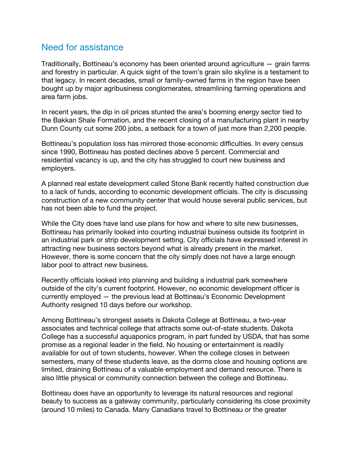## Need for assistance

Traditionally, Bottineau's economy has been oriented around agriculture — grain farms and forestry in particular. A quick sight of the town's grain silo skyline is a testament to that legacy. In recent decades, small or family-owned farms in the region have been bought up by major agribusiness conglomerates, streamlining farming operations and area farm jobs.

In recent years, the dip in oil prices stunted the area's booming energy sector tied to the Bakkan Shale Formation, and the recent closing of a manufacturing plant in nearby Dunn County cut some 200 jobs, a setback for a town of just more than 2,200 people.

Bottineau's population loss has mirrored those economic difficulties. In every census since 1990, Bottineau has posted declines above 5 percent. Commercial and residential vacancy is up, and the city has struggled to court new business and employers.

A planned real estate development called Stone Bank recently halted construction due to a lack of funds, according to economic development officials. The city is discussing construction of a new community center that would house several public services, but has not been able to fund the project.

While the City does have land use plans for how and where to site new businesses, Bottineau has primarily looked into courting industrial business outside its footprint in an industrial park or strip development setting. City officials have expressed interest in attracting new business sectors beyond what is already present in the market. However, there is some concern that the city simply does not have a large enough labor pool to attract new business.

Recently officials looked into planning and building a industrial park somewhere outside of the city's current footprint. However, no economic development officer is currently employed — the previous lead at Bottineau's Economic Development Authority resigned 10 days before our workshop.

Among Bottineau's strongest assets is Dakota College at Bottineau, a two-year associates and technical college that attracts some out-of-state students. Dakota College has a successful aquaponics program, in part funded by USDA, that has some promise as a regional leader in the field. No housing or entertainment is readily available for out of town students, however. When the college closes in between semesters, many of these students leave, as the dorms close and housing options are limited, draining Bottineau of a valuable employment and demand resource. There is also little physical or community connection between the college and Bottineau.

Bottineau does have an opportunity to leverage its natural resources and regional beauty to success as a gateway community, particularly considering its close proximity (around 10 miles) to Canada. Many Canadians travel to Bottineau or the greater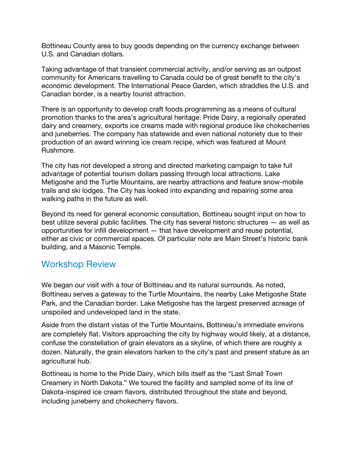Bottineau County area to buy goods depending on the currency exchange between U.S. and Canadian dollars.

Taking advantage of that transient commercial activity, and/or serving as an outpost community for Americans travelling to Canada could be of great benefit to the city's economic development. The International Peace Garden, which straddles the U.S. and Canadian border, is a nearby tourist attraction.

There is an opportunity to develop craft foods programming as a means of cultural promotion thanks to the area's agricultural heritage. Pride Dairy, a regionally operated dairy and creamery, exports ice creams made with regional produce like chokecherries and juneberries. The company has statewide and even national notoriety due to their production of an award winning ice cream recipe, which was featured at Mount Rushmore.

The city has not developed a strong and directed marketing campaign to take full advantage of potential tourism dollars passing through local attractions. Lake Metigoshe and the Turtle Mountains, are nearby attractions and feature snow-mobile trails and ski lodges. The City has looked into expanding and repairing some area walking paths in the future as well.

Beyond its need for general economic consultation, Bottineau sought input on how to best utilize several public facilities. The city has several historic structures — as well as opportunities for infill development — that have development and reuse potential, either as civic or commercial spaces. Of particular note are Main Street's historic bank building, and a Masonic Temple.

# Workshop Review

We began our visit with a tour of Bottineau and its natural surrounds. As noted, Bottineau serves a gateway to the Turtle Mountains, the nearby Lake Metigoshe State Park, and the Canadian border. Lake Metigoshe has the largest preserved acreage of unspoiled and undeveloped land in the state.

Aside from the distant vistas of the Turtle Mountains, Bottineau's immediate environs are completely flat. Visitors approaching the city by highway would likely, at a distance, confuse the constellation of grain elevators as a skyline, of which there are roughly a dozen. Naturally, the grain elevators harken to the city's past and present stature as an agricultural hub.

Bottineau is home to the Pride Dairy, which bills itself as the "Last Small Town Creamery in North Dakota." We toured the facility and sampled some of its line of Dakota-inspired ice cream flavors, distributed throughout the state and beyond, including juneberry and chokecherry flavors.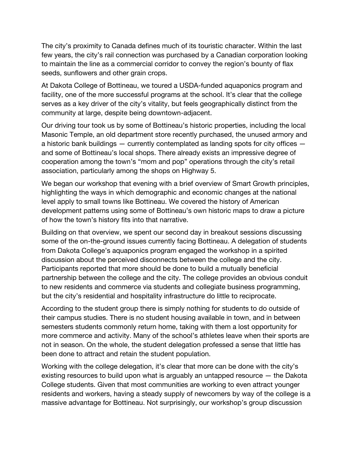The city's proximity to Canada defines much of its touristic character. Within the last few years, the city's rail connection was purchased by a Canadian corporation looking to maintain the line as a commercial corridor to convey the region's bounty of flax seeds, sunflowers and other grain crops.

At Dakota College of Bottineau, we toured a USDA-funded aquaponics program and facility, one of the more successful programs at the school. It's clear that the college serves as a key driver of the city's vitality, but feels geographically distinct from the community at large, despite being downtown-adjacent.

Our driving tour took us by some of Bottineau's historic properties, including the local Masonic Temple, an old department store recently purchased, the unused armory and a historic bank buildings — currently contemplated as landing spots for city offices and some of Bottineau's local shops. There already exists an impressive degree of cooperation among the town's "mom and pop" operations through the city's retail association, particularly among the shops on Highway 5.

We began our workshop that evening with a brief overview of Smart Growth principles, highlighting the ways in which demographic and economic changes at the national level apply to small towns like Bottineau. We covered the history of American development patterns using some of Bottineau's own historic maps to draw a picture of how the town's history fits into that narrative.

Building on that overview, we spent our second day in breakout sessions discussing some of the on-the-ground issues currently facing Bottineau. A delegation of students from Dakota College's aquaponics program engaged the workshop in a spirited discussion about the perceived disconnects between the college and the city. Participants reported that more should be done to build a mutually beneficial partnership between the college and the city. The college provides an obvious conduit to new residents and commerce via students and collegiate business programming, but the city's residential and hospitality infrastructure do little to reciprocate.

According to the student group there is simply nothing for students to do outside of their campus studies. There is no student housing available in town, and in between semesters students commonly return home, taking with them a lost opportunity for more commerce and activity. Many of the school's athletes leave when their sports are not in season. On the whole, the student delegation professed a sense that little has been done to attract and retain the student population.

Working with the college delegation, it's clear that more can be done with the city's existing resources to build upon what is arguably an untapped resource — the Dakota College students. Given that most communities are working to even attract younger residents and workers, having a steady supply of newcomers by way of the college is a massive advantage for Bottineau. Not surprisingly, our workshop's group discussion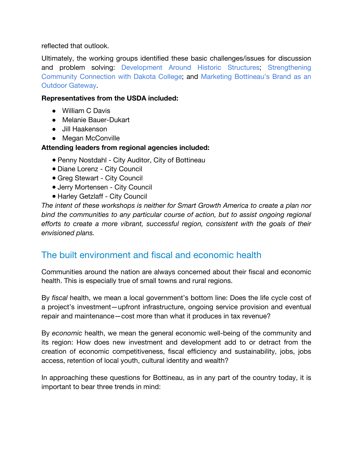reflected that outlook.

Ultimately, the working groups identified these basic challenges/issues for discussion and problem solving: Development Around Historic Structures; Strengthening Community Connection with Dakota College; and Marketing Bottineau's Brand as an Outdoor Gateway.

#### **Representatives from the USDA included:**

- William C Davis
- Melanie Bauer-Dukart
- Jill Haakenson
- Megan McConville

### **Attending leaders from regional agencies included:**

- Penny Nostdahl City Auditor, City of Bottineau
- Diane Lorenz City Council
- Greg Stewart City Council
- Jerry Mortensen City Council
- Harley Getzlaff City Council

*The intent of these workshops is neither for Smart Growth America to create a plan nor bind the communities to any particular course of action, but to assist ongoing regional efforts to create a more vibrant, successful region, consistent with the goals of their envisioned plans.* 

# The built environment and fiscal and economic health

Communities around the nation are always concerned about their fiscal and economic health. This is especially true of small towns and rural regions.

By *fiscal* health, we mean a local government's bottom line: Does the life cycle cost of a project's investment—upfront infrastructure, ongoing service provision and eventual repair and maintenance—cost more than what it produces in tax revenue?

By *economic* health, we mean the general economic well-being of the community and its region: How does new investment and development add to or detract from the creation of economic competitiveness, fiscal efficiency and sustainability, jobs, jobs access, retention of local youth, cultural identity and wealth?

In approaching these questions for Bottineau, as in any part of the country today, it is important to bear three trends in mind: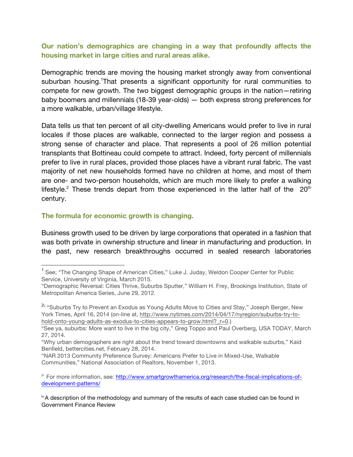### **Our nation's demographics are changing in a way that profoundly affects the housing market in large cities and rural areas alike.**

Demographic trends are moving the housing market strongly away from conventional suburban housing. That presents a significant opportunity for rural communities to compete for new growth. The two biggest demographic groups in the nation—retiring baby boomers and millennials (18-39 year-olds) — both express strong preferences for a more walkable, urban/village lifestyle.

Data tells us that ten percent of all city-dwelling Americans would prefer to live in rural locales if those places are walkable, connected to the larger region and possess a strong sense of character and place. That represents a pool of 26 million potential transplants that Bottineau could compete to attract. Indeed, forty percent of millennials prefer to live in rural places, provided those places have a vibrant rural fabric. The vast majority of net new households formed have no children at home, and most of them are one- and two-person households, which are much more likely to prefer a walking lifestyle.<sup>2</sup> These trends depart from those experienced in the latter half of the  $20<sup>th</sup>$ century.

#### **The formula for economic growth is changing.**

Business growth used to be driven by large corporations that operated in a fashion that was both private in ownership structure and linear in manufacturing and production. In the past, new research breakthroughs occurred in sealed research laboratories

<sup>&</sup>lt;sup>1</sup> See; "The Changing Shape of American Cities," Luke J. Juday, Weldon Cooper Center for Public Service, University of Virginia, March 2015.

<sup>&</sup>quot;Demographic Reversal: Cities Thrive, Suburbs Sputter," William H. Frey, Brookings Institution, State of Metropolitan America Series, June 29, 2012.

<sup>&</sup>lt;sup>2ii</sup> "Suburbs Try to Prevent an Exodus as Young Adults Move to Cities and Stay," Joseph Berger, New York Times, April 16, 2014 (on-line at, http://www.nytimes.com/2014/04/17/nyregion/suburbs-try-tohold-onto-young-adults-as-exodus-to-cities-appears-to-grow.html? r=0.)

<sup>&</sup>quot;See ya, suburbs: More want to live in the big city," Greg Toppo and Paul Overberg, USA TODAY, March 27, 2014.

<sup>&</sup>quot;Why urban demographers are right about the trend toward downtowns and walkable suburbs," Kaid Benfield, bettercities.net, February 28, 2014.

<sup>&</sup>quot;NAR 2013 Community Preference Survey: Americans Prefer to Live in Mixed-Use, Walkable Communities," National Association of Realtors, November 1, 2013.

iii For more information, see: http://www.smartgrowthamerica.org/research/the-fiscal-implications-ofdevelopment-patterns/

<sup>&</sup>lt;sup>iv</sup> A description of the methodology and summary of the results of each case studied can be found in Government Finance Review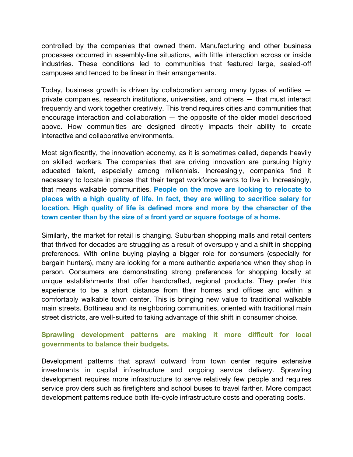controlled by the companies that owned them. Manufacturing and other business processes occurred in assembly-line situations, with little interaction across or inside industries. These conditions led to communities that featured large, sealed-off campuses and tended to be linear in their arrangements.

Today, business growth is driven by collaboration among many types of entities private companies, research institutions, universities, and others — that must interact frequently and work together creatively. This trend requires cities and communities that encourage interaction and collaboration — the opposite of the older model described above. How communities are designed directly impacts their ability to create interactive and collaborative environments.

Most significantly, the innovation economy, as it is sometimes called, depends heavily on skilled workers. The companies that are driving innovation are pursuing highly educated talent, especially among millennials. Increasingly, companies find it necessary to locate in places that their target workforce wants to live in. Increasingly, that means walkable communities. **People on the move are looking to relocate to places with a high quality of life. In fact, they are willing to sacrifice salary for location. High quality of life is defined more and more by the character of the town center than by the size of a front yard or square footage of a home.** 

Similarly, the market for retail is changing. Suburban shopping malls and retail centers that thrived for decades are struggling as a result of oversupply and a shift in shopping preferences. With online buying playing a bigger role for consumers (especially for bargain hunters), many are looking for a more authentic experience when they shop in person. Consumers are demonstrating strong preferences for shopping locally at unique establishments that offer handcrafted, regional products. They prefer this experience to be a short distance from their homes and offices and within a comfortably walkable town center. This is bringing new value to traditional walkable main streets. Bottineau and its neighboring communities, oriented with traditional main street districts, are well-suited to taking advantage of this shift in consumer choice.

### **Sprawling development patterns are making it more difficult for local governments to balance their budgets.**

Development patterns that sprawl outward from town center require extensive investments in capital infrastructure and ongoing service delivery. Sprawling development requires more infrastructure to serve relatively few people and requires service providers such as firefighters and school buses to travel farther. More compact development patterns reduce both life-cycle infrastructure costs and operating costs.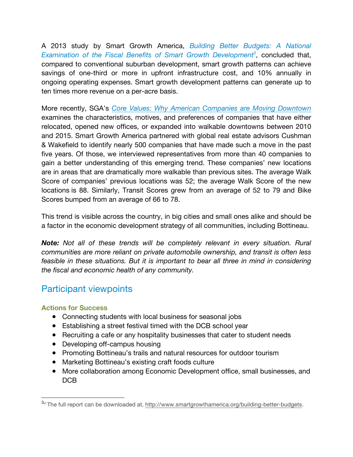A 2013 study by Smart Growth America, *Building Better Budgets: A National*  Examination of the Fiscal Benefits of Smart Growth Development<sup>3</sup>, concluded that, compared to conventional suburban development, smart growth patterns can achieve savings of one-third or more in upfront infrastructure cost, and 10% annually in ongoing operating expenses. Smart growth development patterns can generate up to ten times more revenue on a per-acre basis.

More recently, SGA's *Core Values: Why American Companies are Moving Downtown* examines the characteristics, motives, and preferences of companies that have either relocated, opened new offices, or expanded into walkable downtowns between 2010 and 2015. Smart Growth America partnered with global real estate advisors Cushman & Wakefield to identify nearly 500 companies that have made such a move in the past five years. Of those, we interviewed representatives from more than 40 companies to gain a better understanding of this emerging trend. These companies' new locations are in areas that are dramatically more walkable than previous sites. The average Walk Score of companies' previous locations was 52; the average Walk Score of the new locations is 88. Similarly, Transit Scores grew from an average of 52 to 79 and Bike Scores bumped from an average of 66 to 78.

This trend is visible across the country, in big cities and small ones alike and should be a factor in the economic development strategy of all communities, including Bottineau.

*Note: Not all of these trends will be completely relevant in every situation. Rural communities are more reliant on private automobile ownership, and transit is often less feasible in these situations. But it is important to bear all three in mind in considering the fiscal and economic health of any community.*

# Participant viewpoints

### **Actions for Success**

- Connecting students with local business for seasonal jobs
- Establishing a street festival timed with the DCB school year
- Recruiting a cafe or any hospitality businesses that cater to student needs
- Developing off-campus housing
- Promoting Bottineau's trails and natural resources for outdoor tourism
- Marketing Bottineau's existing craft foods culture
- More collaboration among Economic Development office, small businesses, and DC<sub>B</sub>

<sup>3</sup>vi The full report can be downloaded at, http://www.smartgrowthamerica.org/building-better-budgets.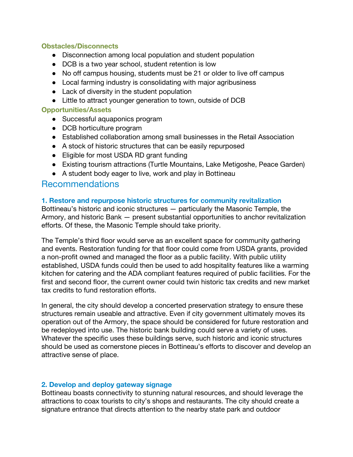#### **Obstacles/Disconnects**

- Disconnection among local population and student population
- DCB is a two year school, student retention is low
- No off campus housing, students must be 21 or older to live off campus
- Local farming industry is consolidating with major agribusiness
- Lack of diversity in the student population
- Little to attract younger generation to town, outside of DCB

#### **Opportunities/Assets**

- Successful aquaponics program
- DCB horticulture program
- Established collaboration among small businesses in the Retail Association
- A stock of historic structures that can be easily repurposed
- Eligible for most USDA RD grant funding
- Existing tourism attractions (Turtle Mountains, Lake Metigoshe, Peace Garden)
- A student body eager to live, work and play in Bottineau

### Recommendations

#### **1. Restore and repurpose historic structures for community revitalization**

Bottineau's historic and iconic structures — particularly the Masonic Temple, the Armory, and historic Bank — present substantial opportunities to anchor revitalization efforts. Of these, the Masonic Temple should take priority.

The Temple's third floor would serve as an excellent space for community gathering and events. Restoration funding for that floor could come from USDA grants, provided a non-profit owned and managed the floor as a public facility. With public utility established, USDA funds could then be used to add hospitality features like a warming kitchen for catering and the ADA compliant features required of public facilities. For the first and second floor, the current owner could twin historic tax credits and new market tax credits to fund restoration efforts.

In general, the city should develop a concerted preservation strategy to ensure these structures remain useable and attractive. Even if city government ultimately moves its operation out of the Armory, the space should be considered for future restoration and be redeployed into use. The historic bank building could serve a variety of uses. Whatever the specific uses these buildings serve, such historic and iconic structures should be used as cornerstone pieces in Bottineau's efforts to discover and develop an attractive sense of place.

#### **2. Develop and deploy gateway signage**

Bottineau boasts connectivity to stunning natural resources, and should leverage the attractions to coax tourists to city's shops and restaurants. The city should create a signature entrance that directs attention to the nearby state park and outdoor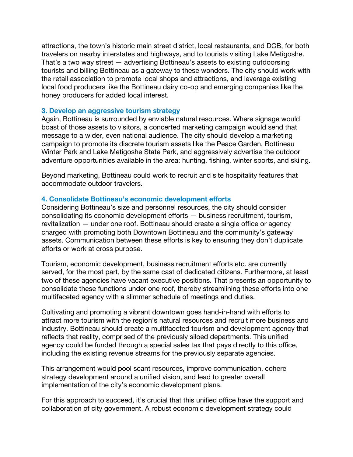attractions, the town's historic main street district, local restaurants, and DCB, for both travelers on nearby interstates and highways, and to tourists visiting Lake Metigoshe. That's a two way street — advertising Bottineau's assets to existing outdoorsing tourists and billing Bottineau as a gateway to these wonders. The city should work with the retail association to promote local shops and attractions, and leverage existing local food producers like the Bottineau dairy co-op and emerging companies like the honey producers for added local interest.

#### **3. Develop an aggressive tourism strategy**

Again, Bottineau is surrounded by enviable natural resources. Where signage would boast of those assets to visitors, a concerted marketing campaign would send that message to a wider, even national audience. The city should develop a marketing campaign to promote its discrete tourism assets like the Peace Garden, Bottineau Winter Park and Lake Metigoshe State Park, and aggressively advertise the outdoor adventure opportunities available in the area: hunting, fishing, winter sports, and skiing.

Beyond marketing, Bottineau could work to recruit and site hospitality features that accommodate outdoor travelers.

#### **4. Consolidate Bottineau's economic development efforts**

Considering Bottineau's size and personnel resources, the city should consider consolidating its economic development efforts — business recruitment, tourism, revitalization — under one roof. Bottineau should create a single office or agency charged with promoting both Downtown Bottineau and the community's gateway assets. Communication between these efforts is key to ensuring they don't duplicate efforts or work at cross purpose.

Tourism, economic development, business recruitment efforts etc. are currently served, for the most part, by the same cast of dedicated citizens. Furthermore, at least two of these agencies have vacant executive positions. That presents an opportunity to consolidate these functions under one roof, thereby streamlining these efforts into one multifaceted agency with a slimmer schedule of meetings and duties.

Cultivating and promoting a vibrant downtown goes hand-in-hand with efforts to attract more tourism with the region's natural resources and recruit more business and industry. Bottineau should create a multifaceted tourism and development agency that reflects that reality, comprised of the previously siloed departments. This unified agency could be funded through a special sales tax that pays directly to this office, including the existing revenue streams for the previously separate agencies.

This arrangement would pool scant resources, improve communication, cohere strategy development around a unified vision, and lead to greater overall implementation of the city's economic development plans.

For this approach to succeed, it's crucial that this unified office have the support and collaboration of city government. A robust economic development strategy could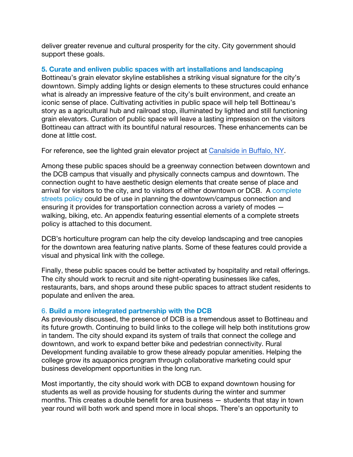deliver greater revenue and cultural prosperity for the city. City government should support these goals.

#### **5. Curate and enliven public spaces with art installations and landscaping**

Bottineau's grain elevator skyline establishes a striking visual signature for the city's downtown. Simply adding lights or design elements to these structures could enhance what is already an impressive feature of the city's built environment, and create an iconic sense of place. Cultivating activities in public space will help tell Bottineau's story as a agricultural hub and railroad stop, illuminated by lighted and still functioning grain elevators. Curation of public space will leave a lasting impression on the visitors Bottineau can attract with its bountiful natural resources. These enhancements can be done at little cost.

For reference, see the lighted grain elevator project at Canalside in Buffalo, NY.

Among these public spaces should be a greenway connection between downtown and the DCB campus that visually and physically connects campus and downtown. The connection ought to have aesthetic design elements that create sense of place and arrival for visitors to the city, and to visitors of either downtown or DCB. A complete streets policy could be of use in planning the downtown/campus connection and ensuring it provides for transportation connection across a variety of modes walking, biking, etc. An appendix featuring essential elements of a complete streets policy is attached to this document.

DCB's horticulture program can help the city develop landscaping and tree canopies for the downtown area featuring native plants. Some of these features could provide a visual and physical link with the college.

Finally, these public spaces could be better activated by hospitality and retail offerings. The city should work to recruit and site night-operating businesses like cafes, restaurants, bars, and shops around these public spaces to attract student residents to populate and enliven the area.

#### 6. **Build a more integrated partnership with the DCB**

As previously discussed, the presence of DCB is a tremendous asset to Bottineau and its future growth. Continuing to build links to the college will help both institutions grow in tandem. The city should expand its system of trails that connect the college and downtown, and work to expand better bike and pedestrian connectivity. Rural Development funding available to grow these already popular amenities. Helping the college grow its aquaponics program through collaborative marketing could spur business development opportunities in the long run.

Most importantly, the city should work with DCB to expand downtown housing for students as well as provide housing for students during the winter and summer months. This creates a double benefit for area business — students that stay in town year round will both work and spend more in local shops. There's an opportunity to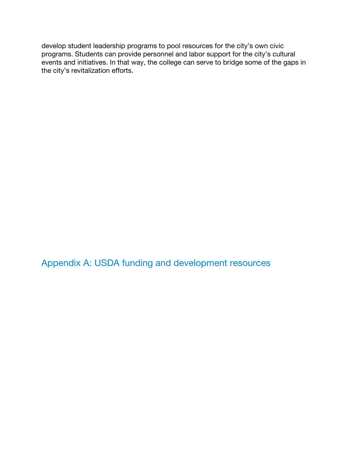develop student leadership programs to pool resources for the city's own civic programs. Students can provide personnel and labor support for the city's cultural events and initiatives. In that way, the college can serve to bridge some of the gaps in the city's revitalization efforts.

Appendix A: USDA funding and development resources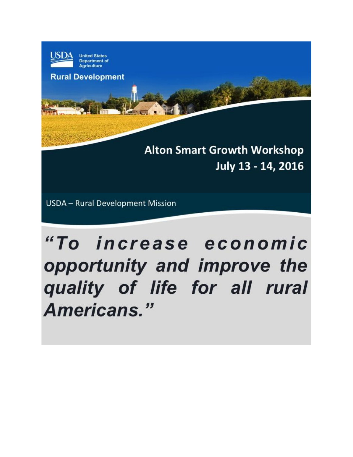

**Department of Agriculture** 

**Rural Development** 

**Alton Smart Growth Workshop** July 13 - 14, 2016

**USDA** - Rural Development Mission

# "To increase economic opportunity and improve the quality of life for all rural Americans."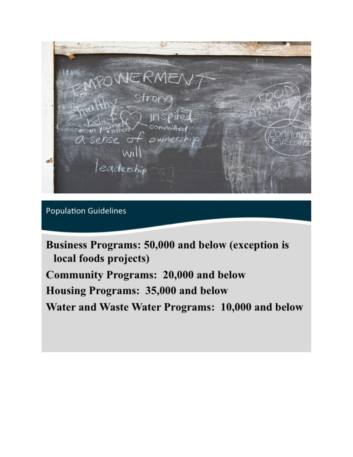Strong ownersh eadership

**Population Guidelines** 

Business Programs: 50,000 and below (exception is local foods projects) **Community Programs: 20,000 and below** Housing Programs: 35,000 and below Water and Waste Water Programs: 10,000 and below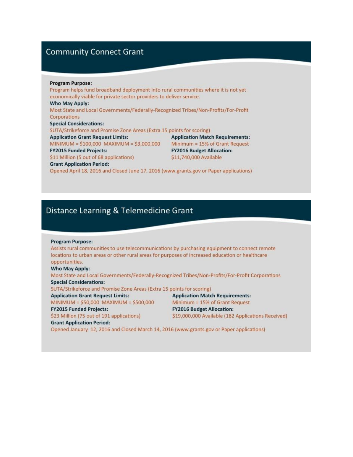### **Community Connect Grant**

#### **Program Purpose:**

Program helps fund broadband deployment into rural communities where it is not yet economically viable for private sector providers to deliver service. Who May Apply: Most State and Local Governments/Federally-Recognized Tribes/Non-Profits/For-Profit Corporations **Special Considerations:** SUTA/Strikeforce and Promise Zone Areas (Extra 15 points for scoring) **Application Grant Request Limits: Application Match Requirements:** MINIMUM =  $$100,000$  MAXIMUM =  $$3,000,000$  Minimum = 15% of Grant Request **FY2015 Funded Projects: FY2016 Budget Allocation:** \$11 Million (5 out of 68 applications) \$11,740,000 Available **Grant Application Period:** 

Opened April 18, 2016 and Closed June 17, 2016 (www.grants.gov or Paper applications)

### Distance Learning & Telemedicine Grant

#### **Program Purpose:**

Assists rural communities to use telecommunications by purchasing equipment to connect remote locations to urban areas or other rural areas for purposes of increased education or healthcare opportunities.

#### **Who May Apply:**

Most State and Local Governments/Federally-Recognized Tribes/Non-Profits/For-Profit Corporations **Special Considerations:** 

SUTA/Strikeforce and Promise Zone Areas (Extra 15 points for scoring)

**Application Grant Request Limits:** 

MINIMUM = \$50,000 MAXIMUM = \$500,000 **FY2015 Funded Projects:** 

\$23 Million (75 out of 191 applications)

Minimum = 15% of Grant Request **FY2016 Budget Allocation:** \$19,000,000 Available (182 Applications Received)

**Application Match Requirements:** 

#### **Grant Application Period:**

Opened January 12, 2016 and Closed March 14, 2016 (www.grants.gov or Paper applications)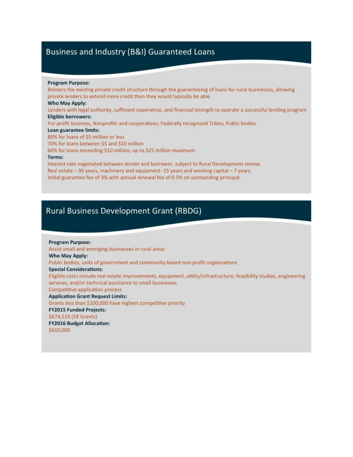### Business and Industry (B&I) Guaranteed Loans

#### **Program Purpose:**

Bolsters the existing private credit structure through the guaranteeing of loans for rural businesses, allowing private lenders to extend more credit than they would typically be able. Who May Apply: Lenders with legal authority, sufficient experience, and financial strength to operate a successful lending program **Eligible borrowers:** For-profit business, Nonprofits and cooperatives, Federally recognized Tribes, Public bodies Loan guarantee limits: 80% for loans of \$5 million or less 70% for loans between \$5 and \$10 million 60% for loans exceeding \$10 million, up to \$25 million maximum Terms: Interest rate negotiated between lender and borrower, subject to Rural Development review. Real estate - 30 years, machinery and equipment -15 years and working capital - 7 years.

Initial guarantee fee of 3% with annual renewal fee of 0.5% on outstanding principal.

### **Rural Business Development Grant (RBDG)**

**Program Purpose:** Assist small and emerging businesses in rural areas Who May Apply: Public bodies, units of government and community-based non-profit organizations **Special Considerations:** Eligible costs include real estate improvements, equipment, utility/infrastructure, feasibility studies, engineering services, and/or technical assistance to small businesses **Competitive application process Application Grant Request Limits:** Grants less than \$100,000 have highest competitive priority **FY2015 Funded Projects:** \$674,519 (18 Grants) **FY2016 Budget Allocation:** \$610,000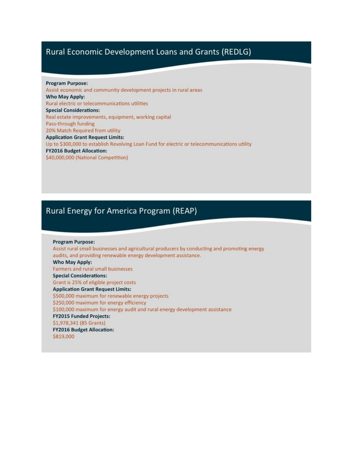### Rural Economic Development Loans and Grants (REDLG)

**Program Purpose:** Assist economic and community development projects in rural areas Who May Apply: Rural electric or telecommunications utilities **Special Considerations:** Real estate improvements, equipment, working capital Pass-through funding 20% Match Required from utility **Application Grant Request Limits:** Up to \$300,000 to establish Revolving Loan Fund for electric or telecommunications utility **FY2016 Budget Allocation:** \$40,000,000 (National Competition)

### Rural Energy for America Program (REAP)

**Program Purpose:** Assist rural small businesses and agricultural producers by conducting and promoting energy audits, and providing renewable energy development assistance. Who May Apply: Farmers and rural small businesses **Special Considerations:** Grant is 25% of eligible project costs **Application Grant Request Limits:** \$500,000 maximum for renewable energy projects \$250,000 maximum for energy efficiency \$100,000 maximum for energy audit and rural energy development assistance **FY2015 Funded Projects:** \$1,978,341 (85 Grants) **FY2016 Budget Allocation:** \$819,000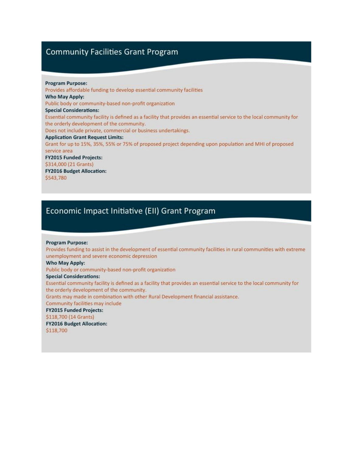### **Community Facilities Grant Program**

#### **Program Purpose:**

Provides affordable funding to develop essential community facilities Who May Apply: Public body or community-based non-profit organization **Special Considerations:** Essential community facility is defined as a facility that provides an essential service to the local community for the orderly development of the community. Does not include private, commercial or business undertakings. **Application Grant Request Limits:** Grant for up to 15%, 35%, 55% or 75% of proposed project depending upon population and MHI of proposed service area **FY2015 Funded Projects:** \$314,000 (21 Grants) **FY2016 Budget Allocation:** \$543,780

### Economic Impact Initiative (EII) Grant Program

#### **Program Purpose:**

Provides funding to assist in the development of essential community facilities in rural communities with extreme unemployment and severe economic depression

#### **Who May Apply:**

Public body or community-based non-profit organization

#### **Special Considerations:**

Essential community facility is defined as a facility that provides an essential service to the local community for the orderly development of the community.

Grants may made in combination with other Rural Development financial assistance.

#### Community facilities may include

**FY2015 Funded Projects:** 

#### \$118,700 (14 Grants)

**FY2016 Budget Allocation:** 

\$118,700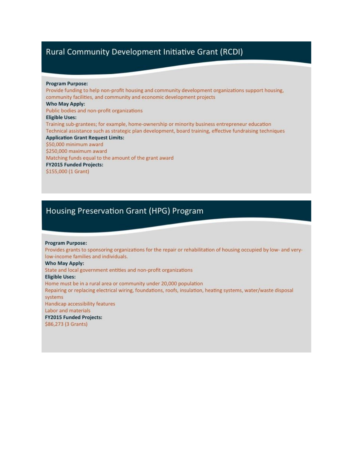### Rural Community Development Initiative Grant (RCDI)

#### **Program Purpose:**

Provide funding to help non-profit housing and community development organizations support housing, community facilities, and community and economic development projects Who May Apply: Public bodies and non-profit organizations **Eligible Uses:** Training sub-grantees; for example, home-ownership or minority business entrepreneur education Technical assistance such as strategic plan development, board training, effective fundraising techniques **Application Grant Request Limits:** \$50,000 minimum award \$250,000 maximum award Matching funds equal to the amount of the grant award **FY2015 Funded Projects:** \$155,000 (1 Grant)

### **Housing Preservation Grant (HPG) Program**

#### **Program Purpose:**

Provides grants to sponsoring organizations for the repair or rehabilitation of housing occupied by low- and verylow-income families and individuals.

#### Who May Apply:

State and local government entities and non-profit organizations

#### **Eligible Uses:**

Home must be in a rural area or community under 20,000 population Repairing or replacing electrical wiring, foundations, roofs, insulation, heating systems, water/waste disposal systems Handicap accessibility features Labor and materials

**FY2015 Funded Projects:** 

\$86,273 (3 Grants)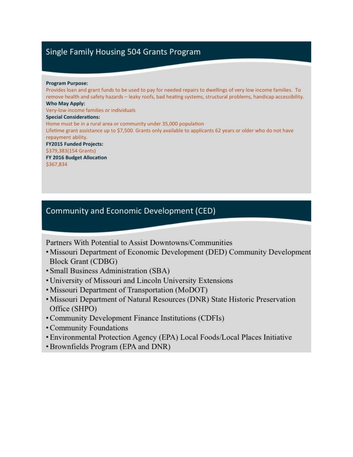### Single Family Housing 504 Grants Program

#### **Program Purpose:**

Provides loan and grant funds to be used to pay for needed repairs to dwellings of very low income families. To remove health and safety hazards - leaky roofs, bad heating systems, structural problems, handicap accessibility. Who May Apply: Very-low income families or individuals **Special Considerations:** Home must be in a rural area or community under 35,000 population Lifetime grant assistance up to \$7,500. Grants only available to applicants 62 years or older who do not have repayment ability. **FY2015 Funded Projects:** \$379,383(154 Grants) FY 2016 Budget Allocation \$367,834

### **Community and Economic Development (CED)**

Partners With Potential to Assist Downtowns/Communities

- Missouri Department of Economic Development (DED) Community Development **Block Grant (CDBG)**
- Small Business Administration (SBA)
- University of Missouri and Lincoln University Extensions
- Missouri Department of Transportation (MoDOT)
- Missouri Department of Natural Resources (DNR) State Historic Preservation Office (SHPO)
- Community Development Finance Institutions (CDFIs)
- Community Foundations
- Environmental Protection Agency (EPA) Local Foods/Local Places Initiative
- Brownfields Program (EPA and DNR)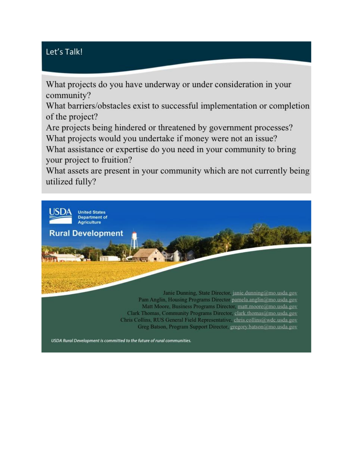# Let's Talk!

What projects do you have underway or under consideration in your community?

What barriers/obstacles exist to successful implementation or completion of the project?

Are projects being hindered or threatened by government processes? What projects would you undertake if money were not an issue?

What assistance or expertise do you need in your community to bring your project to fruition?

What assets are present in your community which are not currently being utilized fully?

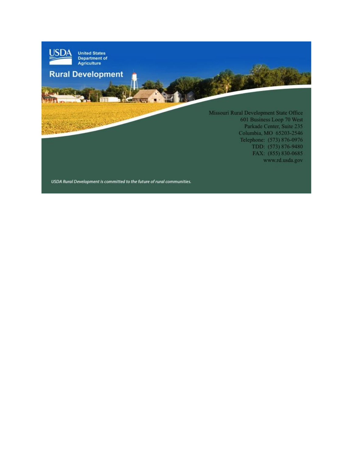